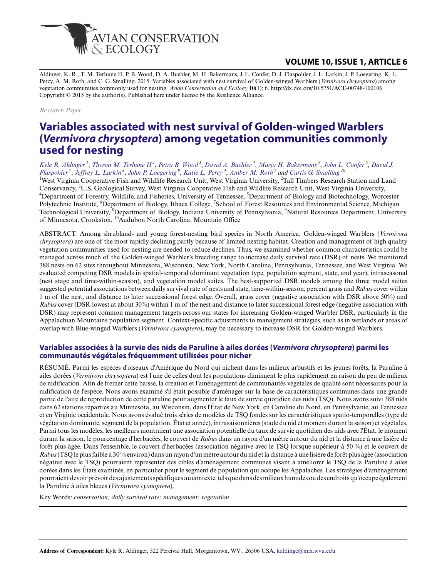

## **VOLUME 10, ISSUE 1, ARTICLE 6**

Aldinger, K. R., T. M. Terhune II, P. B. Wood, D. A. Buehler, M. H. Bakermans, J. L. Confer, D. J. Flaspohler, J. L. Larkin, J. P. Loegering, K. L. Percy, A. M. Roth, and C. G. Smalling. 2015. Variables associated with nest survival of Golden-winged Warblers (*Vermivora chrysoptera*) among vegetation communities commonly used for nesting. *Avian Conservation and Ecology* **10**(1): 6. http://dx.doi.org/10.5751/ACE-00748-100106 Copyright © 2015 by the author(s). Published here under license by the Resilience Alliance.

*Research Paper*

# **Variables associated with nest survival of Golden-winged Warblers (***Vermivora chrysoptera***) among vegetation communities commonly used for nesting**

*[Kyle R. Aldinger](mailto:kaldinge@mix.wvu.edu)<sup>1</sup>* , *[Theron M. Terhune II](mailto:theron@ttrs.org)<sup>2</sup>* , *[Petra B. Wood](mailto:pbwood@wvu.edu)<sup>3</sup>* , *[David A. Buehler](mailto:dbuehler@utk.edu)<sup>4</sup>* , *[Marja H. Bakermans](mailto:mbakermans@wpi.edu)<sup>5</sup>* , *[John L. Confer](mailto:confer@ithaca.edu)<sup>6</sup>* , *[David J.](mailto:djflaspo@mtu.edu) [Flaspohler](mailto:djflaspo@mtu.edu)<sup>7</sup>* , *[Jeffrey L. Larkin](mailto:larkin@iup.edu)<sup>8</sup>* , *[John P. Loegering](mailto:jloegeri@umn.edu)<sup>9</sup>* , *[Katie L. Percy](mailto:kpercy@utk.edu)<sup>4</sup>* , *[Amber M. Roth](mailto:amroth@mtu.edu)<sup>7</sup> and [Curtis G. Smalling](mailto:csmalling@audubon.org)<sup>10</sup>*

<sup>1</sup>West Virginia Cooperative Fish and Wildlife Research Unit, West Virginia University, <sup>2</sup>Tall Timbers Research Station and Land Conservancy, <sup>3</sup>U.S. Geological Survey, West Virginia Cooperative Fish and Wildlife Research Unit, West Virginia University, <sup>4</sup>Department of Forestry, Wildlife, and Fisheries, University of Tennessee, <sup>5</sup>Department of Biology and Biotechnology, Worcester Polytechnic Institute, <sup>6</sup>Department of Biology, Ithaca College, <sup>7</sup>School of Forest Resources and Environmental Science, Michigan Technological University, <sup>8</sup>Department of Biology, Indiana University of Pennsylvania, <sup>9</sup>Natural Resources Department, University of Minnesota, Crookston, <sup>10</sup>Audubon North Carolina, Mountain Office

ABSTRACT. Among shrubland- and young forest-nesting bird species in North America, Golden-winged Warblers (*Vermivora chrysoptera*) are one of the most rapidly declining partly because of limited nesting habitat. Creation and management of high quality vegetation communities used for nesting are needed to reduce declines. Thus, we examined whether common characteristics could be managed across much of the Golden-winged Warbler's breeding range to increase daily survival rate (DSR) of nests. We monitored 388 nests on 62 sites throughout Minnesota, Wisconsin, New York, North Carolina, Pennsylvania, Tennessee, and West Virginia. We evaluated competing DSR models in spatial-temporal (dominant vegetation type, population segment, state, and year), intraseasonal (nest stage and time-within-season), and vegetation model suites. The best-supported DSR models among the three model suites suggested potential associations between daily survival rate of nests and state, time-within-season, percent grass and *Rubus* cover within 1 m of the nest, and distance to later successional forest edge. Overall, grass cover (negative association with DSR above 50%) and *Rubus* cover (DSR lowest at about 30%) within 1 m of the nest and distance to later successional forest edge (negative association with DSR) may represent common management targets across our states for increasing Golden-winged Warbler DSR, particularly in the Appalachian Mountains population segment. Context-specific adjustments to management strategies, such as in wetlands or areas of overlap with Blue-winged Warblers (*Vermivora cyanoptera*), may be necessary to increase DSR for Golden-winged Warblers.

#### **Variables associées à la survie des nids de Paruline à ailes dorées (***Vermivora chrysoptera***) parmi les communautés végétales fréquemment utilisées pour nicher**

RÉSUMÉ. Parmi les espèces d'oiseaux d'Amérique du Nord qui nichent dans les milieux arbustifs et les jeunes forêts, la Paruline à ailes dorées (*Vermivora chrysoptera*) est l'une de celles dont les populations diminuent le plus rapidement en raison du peu de milieux de nidification. Afin de freiner cette baisse, la création et l'aménagement de communautés végétales de qualité sont nécessaires pour la nidification de l'espèce. Nous avons examiné s'il était possible d'aménager sur la base de caractéristiques communes dans une grande partie de l'aire de reproduction de cette paruline pour augmenter le taux de survie quotidien des nids (TSQ). Nous avons suivi 388 nids dans 62 stations réparties au Minnesota, au Wisconsin, dans l'État de New York, en Caroline du Nord, en Pennsylvanie, au Tennessee et en Virginie occidentale. Nous avons évalué trois séries de modèles de TSQ fondés sur les caractéristiques spatio-temporelles (type de végétation dominante, segment de la population, État et année), intrasaisonnières (stade du nid et moment durant la saison) et végétales. Parmi tous les modèles, les meilleurs montraient une association potentielle du taux de survie quotidien des nids avec l'État, le moment durant la saison, le pourcentage d'herbacées, le couvert de *Rubus* dans un rayon d'un mètre autour du nid et la distance à une lisière de forêt plus âgée. Dans l'ensemble, le couvert d'herbacées (association négative avec le TSQ lorsque supérieur à 50 %) et le couvert de *Rubus* (TSQ le plus faible à 30 % environ) dans un rayon d'un mètre autour du nid et la distance à une lisière de forêt plus âgée (association négative avec le TSQ) pourraient représenter des cibles d'aménagement communes visant à améliorer le TSQ de la Paruline à ailes dorées dans les États examinés, en particulier pour le segment de population qui occupe les Appalaches. Les stratégies d'aménagement pourraient devoir prévoir des ajustements spécifiques au contexte, tels que dans des milieux humides ou des endroits qu'occupe également la Paruline à ailes bleues (*Vermivora cyanoptera*).

Key Words: *conservation; daily survival rate; management; vegetation*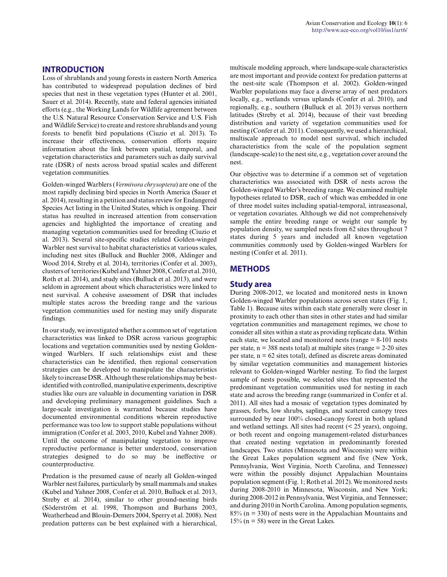#### **INTRODUCTION**

Loss of shrublands and young forests in eastern North America has contributed to widespread population declines of bird species that nest in these vegetation types (Hunter et al. 2001, Sauer et al. 2014). Recently, state and federal agencies initiated efforts (e.g., the Working Lands for Wildlife agreement between the U.S. Natural Resource Conservation Service and U.S. Fish and Wildlife Service) to create and restore shrublands and young forests to benefit bird populations (Ciuzio et al. 2013). To increase their effectiveness, conservation efforts require information about the link between spatial, temporal, and vegetation characteristics and parameters such as daily survival rate (DSR) of nests across broad spatial scales and different vegetation communities.

Golden-winged Warblers (*Vermivora chrysoptera*) are one of the most rapidly declining bird species in North America (Sauer et al. 2014), resulting in a petition and status review for Endangered Species Act listing in the United States, which is ongoing. Their status has resulted in increased attention from conservation agencies and highlighted the importance of creating and managing vegetation communities used for breeding (Ciuzio et al. 2013). Several site-specific studies related Golden-winged Warbler nest survival to habitat characteristics at various scales, including nest sites (Bulluck and Buehler 2008, Aldinger and Wood 2014, Streby et al. 2014), territories (Confer et al. 2003), clusters of territories (Kubel and Yahner 2008, Confer et al. 2010, Roth et al. 2014), and study sites (Bulluck et al. 2013), and were seldom in agreement about which characteristics were linked to nest survival. A cohesive assessment of DSR that includes multiple states across the breeding range and the various vegetation communities used for nesting may unify disparate findings.

In our study, we investigated whether a common set of vegetation characteristics was linked to DSR across various geographic locations and vegetation communities used by nesting Goldenwinged Warblers. If such relationships exist and these characteristics can be identified, then regional conservation strategies can be developed to manipulate the characteristics likely to increase DSR. Although these relationships may be bestidentified with controlled, manipulative experiments, descriptive studies like ours are valuable in documenting variation in DSR and developing preliminary management guidelines. Such a large-scale investigation is warranted because studies have documented environmental conditions wherein reproductive performance was too low to support stable populations without immigration (Confer et al. 2003, 2010, Kubel and Yahner 2008). Until the outcome of manipulating vegetation to improve reproductive performance is better understood, conservation strategies designed to do so may be ineffective or counterproductive.

Predation is the presumed cause of nearly all Golden-winged Warbler nest failures, particularly by small mammals and snakes (Kubel and Yahner 2008, Confer et al. 2010, Bulluck et al. 2013, Streby et al. 2014), similar to other ground-nesting birds (Söderström et al. 1998, Thompson and Burhans 2003, Weatherhead and Blouin-Demers 2004, Sperry et al. 2008). Nest predation patterns can be best explained with a hierarchical,

multiscale modeling approach, where landscape-scale characteristics are most important and provide context for predation patterns at the nest-site scale (Thompson et al. 2002). Golden-winged Warbler populations may face a diverse array of nest predators locally, e.g., wetlands versus uplands (Confer et al. 2010), and regionally, e.g., southern (Bulluck et al. 2013) versus northern latitudes (Streby et al. 2014), because of their vast breeding distribution and variety of vegetation communities used for nesting (Confer et al. 2011). Consequently, we used a hierarchical, multiscale approach to model nest survival, which included characteristics from the scale of the population segment (landscape-scale) to the nest site, e.g., vegetation cover around the nest.

Our objective was to determine if a common set of vegetation characteristics was associated with DSR of nests across the Golden-winged Warbler's breeding range. We examined multiple hypotheses related to DSR, each of which was embedded in one of three model suites including spatial-temporal, intraseasonal, or vegetation covariates. Although we did not comprehensively sample the entire breeding range or weight our sample by population density, we sampled nests from 62 sites throughout 7 states during 5 years and included all known vegetation communities commonly used by Golden-winged Warblers for nesting (Confer et al. 2011).

#### **METHODS**

#### **Study area**

During 2008-2012, we located and monitored nests in known Golden-winged Warbler populations across seven states (Fig. 1, Table 1). Because sites within each state generally were closer in proximity to each other than sites in other states and had similar vegetation communities and management regimes, we chose to consider all sites within a state as providing replicate data. Within each state, we located and monitored nests (range = 8-101 nests per state,  $n = 388$  nests total) at multiple sites (range  $= 2-20$  sites per state,  $n = 62$  sites total), defined as discrete areas dominated by similar vegetation communities and management histories relevant to Golden-winged Warbler nesting. To find the largest sample of nests possible, we selected sites that represented the predominant vegetation communities used for nesting in each state and across the breeding range (summarized in Confer et al. 2011). All sites had a mosaic of vegetation types dominated by grasses, forbs, low shrubs, saplings, and scattered canopy trees surrounded by near 100% closed-canopy forest in both upland and wetland settings. All sites had recent (< 25 years), ongoing, or both recent and ongoing management-related disturbances that created nesting vegetation in predominantly forested landscapes. Two states (Minnesota and Wisconsin) were within the Great Lakes population segment and five (New York, Pennsylvania, West Virginia, North Carolina, and Tennessee) were within the possibly disjunct Appalachian Mountains population segment (Fig. 1; Roth et al. 2012). We monitored nests during 2008-2010 in Minnesota, Wisconsin, and New York; during 2008-2012 in Pennsylvania, West Virginia, and Tennessee; and during 2010 in North Carolina. Among population segments,  $85\%$  (n = 330) of nests were in the Appalachian Mountains and  $15\%$  (n = 58) were in the Great Lakes.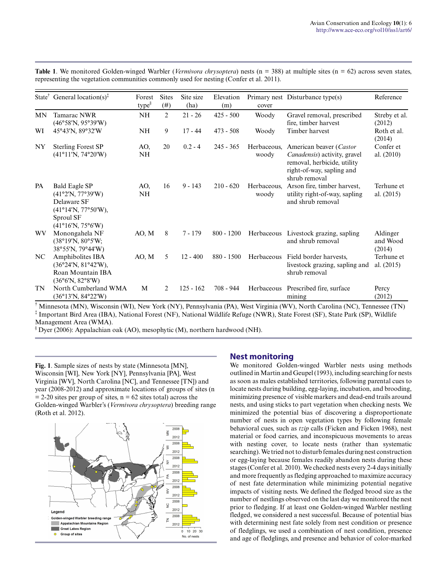| State <sup>1</sup> | General location(s) <sup><math>\ddagger</math></sup>                                                                                              | Forest<br>$type^{\S}$ | <b>Sites</b><br>(# ) | Site size<br>(ha) | Elevation<br>(m) | cover                | Primary nest Disturbance type(s)                                                                                                     | Reference                      |
|--------------------|---------------------------------------------------------------------------------------------------------------------------------------------------|-----------------------|----------------------|-------------------|------------------|----------------------|--------------------------------------------------------------------------------------------------------------------------------------|--------------------------------|
| <b>MN</b>          | Tamarac NWR<br>(46°58'N, 95°39'W)                                                                                                                 | NH                    | $\overline{2}$       | $21 - 26$         | $425 - 500$      | Woody                | Gravel removal, prescribed<br>fire, timber harvest                                                                                   | Streby et al.<br>(2012)        |
| WI                 | 45°43'N, 89°32'W                                                                                                                                  | NH                    | 9                    | $17 - 44$         | $473 - 508$      | Woody                | Timber harvest                                                                                                                       | Roth et al.<br>(2014)          |
| NY                 | <b>Sterling Forest SP</b><br>(41°11'N, 74°20'W)                                                                                                   | AO,<br><b>NH</b>      | 20                   | $0.2 - 4$         | $245 - 365$      | Herbaceous.<br>woody | American beaver (Castor<br>Canadensis) activity, gravel<br>removal, herbicide, utility<br>right-of-way, sapling and<br>shrub removal | Confer et<br>al. $(2010)$      |
| PA                 | <b>Bald Eagle SP</b><br>(41°2'N, 77°39'W)<br>Delaware SF<br>$(41^{\circ}14^{\prime}N, 77^{\circ}50^{\prime}W),$<br>Sproul SF<br>(41°16'N, 75°6'W) | AO,<br><b>NH</b>      | 16                   | $9 - 143$         | $210 - 620$      | Herbaceous.<br>woody | Arson fire, timber harvest,<br>utility right-of-way, sapling<br>and shrub removal                                                    | Terhune et<br>al. $(2015)$     |
| <b>WV</b>          | Monongahela NF<br>(38°19'N, 80°5'W;<br>38°55'N, 79°44'W)                                                                                          | AO, M                 | 8                    | $7 - 179$         | $800 - 1200$     | Herbaceous           | Livestock grazing, sapling<br>and shrub removal                                                                                      | Aldinger<br>and Wood<br>(2014) |
| NC.                | Amphibolites IBA<br>$(36^{\circ}24^{\circ}N, 81^{\circ}42^{\circ}W),$<br>Roan Mountain IBA<br>$(36^{\circ}6'N, 82^{\circ}8'W)$                    | AO, M                 | 5                    | $12 - 400$        | 880 - 1500       | Herbaceous           | Field border harvests,<br>livestock grazing, sapling and<br>shrub removal                                                            | Terhune et<br>al. $(2015)$     |
| TN<br>$\mathbf{A}$ | North Cumberland WMA<br>(36°13'N, 84°22'W)                                                                                                        | M                     | 2                    | $125 - 162$       | $708 - 944$      | Herbaceous           | Prescribed fire, surface<br>mining                                                                                                   | Percy<br>(2012)                |

**Table 1**. We monitored Golden-winged Warbler (*Vermivora chrysoptera*) nests (n = 388) at multiple sites (n = 62) across seven states, representing the vegetation communities commonly used for nesting (Confer et al. 2011).

† Minnesota (MN), Wisconsin (WI), New York (NY), Pennsylvania (PA), West Virginia (WV), North Carolina (NC), Tennessee (TN) ‡ Important Bird Area (IBA), National Forest (NF), National Wildlife Refuge (NWR), State Forest (SF), State Park (SP), Wildlife Management Area (WMA).

§ Dyer (2006): Appalachian oak (AO), mesophytic (M), northern hardwood (NH).

**Fig. 1**. Sample sizes of nests by state (Minnesota [MN], Wisconsin [WI], New York [NY], Pennsylvania [PA], West Virginia [WV], North Carolina [NC], and Tennessee [TN]) and year (2008-2012) and approximate locations of groups of sites (n  $= 2-20$  sites per group of sites,  $n = 62$  sites total) across the Golden-winged Warbler's (*Vermivora chrysoptera*) breeding range (Roth et al. 2012).



#### **Nest monitoring**

We monitored Golden-winged Warbler nests using methods outlined in Martin and Geupel (1993), including searching for nests as soon as males established territories, following parental cues to locate nests during building, egg-laying, incubation, and brooding, minimizing presence of visible markers and dead-end trails around nests, and using sticks to part vegetation when checking nests. We minimized the potential bias of discovering a disproportionate number of nests in open vegetation types by following female behavioral cues, such as *tzip* calls (Ficken and Ficken 1968), nest material or food carries, and inconspicuous movements to areas with nesting cover, to locate nests (rather than systematic searching). We tried not to disturb females during nest construction or egg-laying because females readily abandon nests during these stages (Confer et al. 2010). We checked nests every 2-4 days initially and more frequently as fledging approached to maximize accuracy of nest fate determination while minimizing potential negative impacts of visiting nests. We defined the fledged brood size as the number of nestlings observed on the last day we monitored the nest prior to fledging. If at least one Golden-winged Warbler nestling fledged, we considered a nest successful. Because of potential bias with determining nest fate solely from nest condition or presence of fledglings, we used a combination of nest condition, presence and age of fledglings, and presence and behavior of color-marked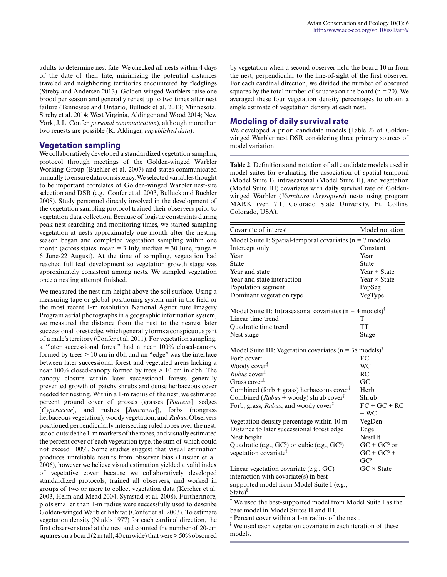adults to determine nest fate. We checked all nests within 4 days of the date of their fate, minimizing the potential distances traveled and neighboring territories encountered by fledglings (Streby and Andersen 2013). Golden-winged Warblers raise one brood per season and generally renest up to two times after nest failure (Tennessee and Ontario, Bulluck et al. 2013; Minnesota, Streby et al. 2014; West Virginia, Aldinger and Wood 2014; New York, J. L. Confer, *personal communication*), although more than two renests are possible (K. Aldinger, *unpublished data*).

#### **Vegetation sampling**

We collaboratively developed a standardized vegetation sampling protocol through meetings of the Golden-winged Warbler Working Group (Buehler et al. 2007) and states communicated annually to ensure data consistency. We selected variables thought to be important correlates of Golden-winged Warbler nest-site selection and DSR (e.g., Confer et al. 2003, Bulluck and Buehler 2008). Study personnel directly involved in the development of the vegetation sampling protocol trained their observers prior to vegetation data collection. Because of logistic constraints during peak nest searching and monitoring times, we started sampling vegetation at nests approximately one month after the nesting season began and completed vegetation sampling within one month (across states: mean  $=$  3 July, median  $=$  30 June, range  $=$ 6 June-22 August). At the time of sampling, vegetation had reached full leaf development so vegetation growth stage was approximately consistent among nests. We sampled vegetation once a nesting attempt finished.

We measured the nest rim height above the soil surface. Using a measuring tape or global positioning system unit in the field or the most recent 1-m resolution National Agriculture Imagery Program aerial photographs in a geographic information system, we measured the distance from the nest to the nearest later successional forest edge, which generally forms a conspicuous part of a male's territory (Confer et al. 2011). For vegetation sampling, a "later successional forest" had a near 100% closed-canopy formed by trees > 10 cm in dbh and an "edge" was the interface between later successional forest and vegetated areas lacking a near 100% closed-canopy formed by trees > 10 cm in dbh. The canopy closure within later successional forests generally prevented growth of patchy shrubs and dense herbaceous cover needed for nesting. Within a 1-m radius of the nest, we estimated percent ground cover of grasses (grasses [*Poaceae*], sedges [*Cyperaceae*], and rushes [*Juncaceae*]), forbs (nongrass herbaceous vegetation), woody vegetation, and *Rubus*. Observers positioned perpendicularly intersecting ruled ropes over the nest, stood outside the 1-m markers of the ropes, and visually estimated the percent cover of each vegetation type, the sum of which could not exceed 100%. Some studies suggest that visual estimation produces unreliable results from observer bias (Luscier et al. 2006), however we believe visual estimation yielded a valid index of vegetative cover because we collaboratively developed standardized protocols, trained all observers, and worked in groups of two or more to collect vegetation data (Kercher et al. 2003, Helm and Mead 2004, Symstad et al. 2008). Furthermore, plots smaller than 1-m radius were successfully used to describe Golden-winged Warbler habitat (Confer et al. 2003). To estimate vegetation density (Nudds 1977) for each cardinal direction, the first observer stood at the nest and counted the number of 20-cm squares on a board (2 m tall, 40 cm wide) that were > 50% obscured

by vegetation when a second observer held the board 10 m from the nest, perpendicular to the line-of-sight of the first observer. For each cardinal direction, we divided the number of obscured squares by the total number of squares on the board ( $n = 20$ ). We averaged these four vegetation density percentages to obtain a single estimate of vegetation density at each nest.

#### **Modeling of daily survival rate**

We developed a priori candidate models (Table 2) of Goldenwinged Warbler nest DSR considering three primary sources of model variation:

**Table 2**. Definitions and notation of all candidate models used in model suites for evaluating the association of spatial-temporal (Model Suite I), intraseasonal (Model Suite II), and vegetation (Model Suite III) covariates with daily survival rate of Goldenwinged Warbler (*Vermivora chrysoptera*) nests using program MARK (ver. 7.1, Colorado State University, Ft. Collins, Colorado, USA).

| Model Suite I: Spatial-temporal covariates ( $n = 7$ models)<br>Intercept only<br>Year | Constant<br>Year        |
|----------------------------------------------------------------------------------------|-------------------------|
|                                                                                        |                         |
|                                                                                        |                         |
|                                                                                        |                         |
| State                                                                                  | State                   |
| Year and state                                                                         | Year + State            |
| Year and state interaction                                                             | Year $\times$ State     |
| Population segment                                                                     | PopSeg                  |
| Dominant vegetation type                                                               | VegType                 |
| Model Suite II: Intraseasonal covariates $(n = 4 \text{ models})^{\dagger}$            |                         |
| Linear time trend                                                                      | T                       |
| Quadratic time trend                                                                   | <b>TT</b>               |
| Nest stage                                                                             | Stage                   |
| Model Suite III: Vegetation covariates ( $n = 38$ models) <sup>†</sup>                 |                         |
| Forb cover <sup><math>‡</math></sup>                                                   | FC                      |
| Woody cover <sup>‡</sup>                                                               | <b>WC</b>               |
| <i>Rubus</i> cover <sup><math>‡</math></sup>                                           | <b>RC</b>               |
| Grass cover <sup>‡</sup>                                                               | GC                      |
| Combined (forb + grass) herbaceous cover <sup><math>\ddagger</math></sup>              | Herb                    |
| Combined ( $Rubus$ + woody) shrub cover <sup>‡</sup>                                   | Shrub                   |
| Forb, grass, <i>Rubus</i> , and woody cover <sup>‡</sup>                               | $FC + GC + RC$<br>$+WC$ |
| Vegetation density percentage within 10 m                                              | VegDen                  |
| Distance to later successional forest edge                                             | Edge                    |
| Nest height                                                                            | NestHt                  |
| Quadratic (e.g., GC <sup>2</sup> ) or cubic (e.g., GC <sup>3</sup> )                   | $GC + GC2$ or           |
| vegetation covariate <sup>§</sup>                                                      | $GC + GC^2 +$           |
|                                                                                        | GC <sup>3</sup>         |
| Linear vegetation covariate (e.g., GC)                                                 | $GC \times State$       |
| interaction with covariate(s) in best-                                                 |                         |
| supported model from Model Suite I (e.g.,<br>$State)^{\S}$                             |                         |

† We used the best-supported model from Model Suite I as the base model in Model Suites II and III.

‡ Percent cover within a 1-m radius of the nest.

§ We used each vegetation covariate in each iteration of these models.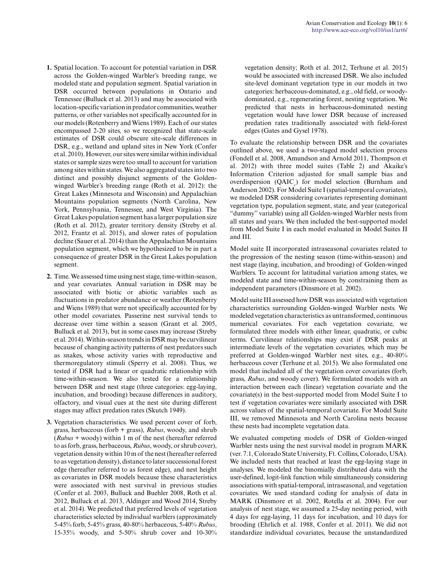- **1.** Spatial location. To account for potential variation in DSR across the Golden-winged Warbler's breeding range, we modeled state and population segment. Spatial variation in DSR occurred between populations in Ontario and Tennessee (Bulluck et al. 2013) and may be associated with location-specific variation in predator communities, weather patterns, or other variables not specifically accounted for in our models (Rotenberry and Wiens 1989). Each of our states encompassed 2-20 sites, so we recognized that state-scale estimates of DSR could obscure site-scale differences in DSR, e.g., wetland and upland sites in New York (Confer et al. 2010). However, our sites were similar within individual states or sample sizes were too small to account for variation among sites within states. We also aggregated states into two distinct and possibly disjunct segments of the Goldenwinged Warbler's breeding range (Roth et al. 2012): the Great Lakes (Minnesota and Wisconsin) and Appalachian Mountains population segments (North Carolina, New York, Pennsylvania, Tennessee, and West Virginia). The Great Lakes population segment has a larger population size (Roth et al. 2012), greater territory density (Streby et al. 2012, Frantz et al. 2015), and slower rates of population decline (Sauer et al. 2014) than the Appalachian Mountains population segment, which we hypothesized to be in part a consequence of greater DSR in the Great Lakes population segment.
- **2.** Time. We assessed time using nest stage, time-within-season, and year covariates. Annual variation in DSR may be associated with biotic or abiotic variables such as fluctuations in predator abundance or weather (Rotenberry and Wiens 1989) that were not specifically accounted for by other model covariates. Passerine nest survival tends to decrease over time within a season (Grant et al. 2005, Bulluck et al. 2013), but in some cases may increase (Streby et al. 2014). Within-season trends in DSR may be curvilinear because of changing activity patterns of nest predators such as snakes, whose activity varies with reproductive and thermoregulatory stimuli (Sperry et al. 2008). Thus, we tested if DSR had a linear or quadratic relationship with time-within-season. We also tested for a relationship between DSR and nest stage (three categories: egg-laying, incubation, and brooding) because differences in auditory, olfactory, and visual cues at the nest site during different stages may affect predation rates (Skutch 1949).
- **3.** Vegetation characteristics. We used percent cover of forb, grass, herbaceous (forb + grass), *Rubus*, woody, and shrub (*Rubus* + woody) within 1 m of the nest (hereafter referred to as forb, grass, herbaceous, *Rubus*, woody, or shrub cover), vegetation density within 10 m of the nest (hereafter referred to as vegetation density), distance to later successional forest edge (hereafter referred to as forest edge), and nest height as covariates in DSR models because these characteristics were associated with nest survival in previous studies (Confer et al. 2003, Bulluck and Buehler 2008, Roth et al. 2012, Bulluck et al. 2013, Aldinger and Wood 2014, Streby et al. 2014). We predicted that preferred levels of vegetation characteristics selected by individual warblers (approximately 5-45% forb, 5-45% grass, 40-80% herbaceous, 5-40% *Rubus*, 15-35% woody, and 5-50% shrub cover and 10-30%

vegetation density; Roth et al. 2012, Terhune et al. 2015) would be associated with increased DSR. We also included site-level dominant vegetation type in our models in two categories: herbaceous-dominated, e.g., old field, or woodydominated, e.g., regenerating forest, nesting vegetation. We predicted that nests in herbaceous-dominated nesting vegetation would have lower DSR because of increased predation rates traditionally associated with field-forest edges (Gates and Gysel 1978).

To evaluate the relationship between DSR and the covariates outlined above, we used a two-staged model selection process (Fondell et al. 2008, Amundson and Arnold 2011, Thompson et al. 2012) with three model suites (Table 2) and Akaike's Information Criterion adjusted for small sample bias and overdispersion (QAIC<sub>c</sub>) for model selection (Burnham and Anderson 2002). For Model Suite I (spatial-temporal covariates), we modeled DSR considering covariates representing dominant vegetation type, population segment, state, and year (categorical "dummy" variable) using all Golden-winged Warbler nests from all states and years. We then included the best-supported model from Model Suite I in each model evaluated in Model Suites II and III.

Model suite II incorporated intraseasonal covariates related to the progression of the nesting season (time-within-season) and nest stage (laying, incubation, and brooding) of Golden-winged Warblers. To account for latitudinal variation among states, we modeled state and time-within-season by constraining them as independent parameters (Dinsmore et al. 2002).

Model suite III assessed how DSR was associated with vegetation characteristics surrounding Golden-winged Warbler nests. We modeled vegetation characteristics as untransformed, continuous numerical covariates. For each vegetation covariate, we formulated three models with either linear, quadratic, or cubic terms. Curvilinear relationships may exist if DSR peaks at intermediate levels of the vegetation covariates, which may be preferred at Golden-winged Warbler nest sites, e.g., 40-80% herbaceous cover (Terhune et al. 2015). We also formulated one model that included all of the vegetation cover covariates (forb, grass, *Rubus*, and woody cover). We formulated models with an interaction between each (linear) vegetation covariate and the covariate(s) in the best-supported model from Model Suite I to test if vegetation covariates were similarly associated with DSR across values of the spatial-temporal covariate. For Model Suite III, we removed Minnesota and North Carolina nests because these nests had incomplete vegetation data.

We evaluated competing models of DSR of Golden-winged Warbler nests using the nest survival model in program MARK (ver. 7.1, Colorado State University, Ft. Collins, Colorado, USA). We included nests that reached at least the egg-laying stage in analyses. We modeled the binomially distributed data with the user-defined, logit-link function while simultaneously considering associations with spatial-temporal, intraseasonal, and vegetation covariates. We used standard coding for analysis of data in MARK (Dinsmore et al. 2002, Rotella et al. 2004). For our analysis of nest stage, we assumed a 25-day nesting period, with 4 days for egg-laying, 11 days for incubation, and 10 days for brooding (Ehrlich et al. 1988, Confer et al. 2011). We did not standardize individual covariates, because the unstandardized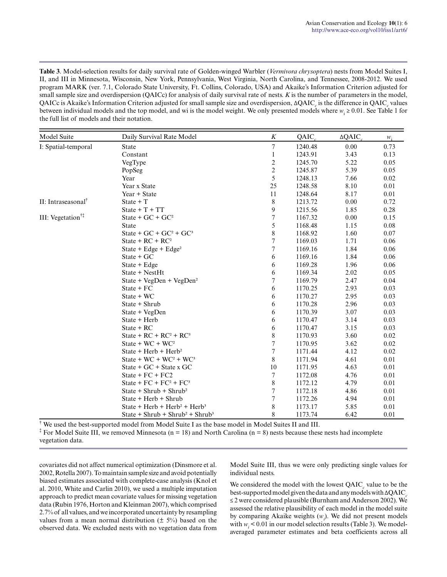**Table 3**. Model-selection results for daily survival rate of Golden-winged Warbler (*Vermivora chrysoptera*) nests from Model Suites I, II, and III in Minnesota, Wisconsin, New York, Pennsylvania, West Virginia, North Carolina, and Tennessee, 2008-2012. We used program MARK (ver. 7.1, Colorado State University, Ft. Collins, Colorado, USA) and Akaike's Information Criterion adjusted for small sample size and overdispersion (QAICc) for analysis of daily survival rate of nests. *K* is the number of parameters in the model, QAICc is Akaike's Information Criterion adjusted for small sample size and overdispersion, ΔQAIC<sub>c</sub> is the difference in QAIC<sub>c</sub> values between individual models and the top model, and wi is the model weight. We only presented models where  $w_i \ge 0.01$ . See Table 1 for the full list of models and their notation.

| Model Suite                    | Daily Survival Rate Model                               | $\cal K$       | QAIC    | $\Delta QAIC$ | $W_i$    |
|--------------------------------|---------------------------------------------------------|----------------|---------|---------------|----------|
| I: Spatial-temporal            | <b>State</b>                                            | $\tau$         | 1240.48 | 0.00          | 0.73     |
|                                | Constant                                                | 1              | 1243.91 | 3.43          | 0.13     |
|                                | VegType                                                 | $\overline{c}$ | 1245.70 | 5.22          | 0.05     |
|                                | PopSeg                                                  | $\overline{c}$ | 1245.87 | 5.39          | 0.05     |
|                                | Year                                                    | 5              | 1248.13 | 7.66          | 0.02     |
|                                | Year x State                                            | 25             | 1248.58 | 8.10          | $0.01\,$ |
|                                | Year + State                                            | 11             | 1248.64 | 8.17          | 0.01     |
| II: Intraseasonal <sup>†</sup> | State $+T$                                              | 8              | 1213.72 | 0.00          | 0.72     |
|                                | State $+T + TT$                                         | 9              | 1215.56 | 1.85          | 0.28     |
| III: Vegetation <sup>†‡</sup>  | State + $GC + GC^2$                                     | $\sqrt{ }$     | 1167.32 | 0.00          | 0.15     |
|                                | <b>State</b>                                            | 5              | 1168.48 | 1.15          | 0.08     |
|                                | State + $GC + GC^2 + GC^3$                              | 8              | 1168.92 | 1.60          | 0.07     |
|                                | State + $RC + RC^2$                                     | 7              | 1169.03 | 1.71          | 0.06     |
|                                | State + Edge + Edge <sup>2</sup>                        | 7              | 1169.16 | 1.84          | 0.06     |
|                                | $State + GC$                                            | 6              | 1169.16 | 1.84          | 0.06     |
|                                | State + Edge                                            | 6              | 1169.28 | 1.96          | 0.06     |
|                                | State + NestHt                                          | 6              | 1169.34 | 2.02          | 0.05     |
|                                | State + VegDen + VegDen <sup>2</sup>                    | 7              | 1169.79 | 2.47          | 0.04     |
|                                | State $+FC$                                             | 6              | 1170.25 | 2.93          | 0.03     |
|                                | State + WC                                              | 6              | 1170.27 | 2.95          | 0.03     |
|                                | State + Shrub                                           | 6              | 1170.28 | 2.96          | 0.03     |
|                                | State + VegDen                                          | 6              | 1170.39 | 3.07          | 0.03     |
|                                | State + Herb                                            | 6              | 1170.47 | 3.14          | 0.03     |
|                                | State + RC                                              | 6              | 1170.47 | 3.15          | 0.03     |
|                                | State + $RC + RC^2 + RC^3$                              | 8              | 1170.93 | 3.60          | 0.02     |
|                                | State + $WC + WC^2$                                     | 7              | 1170.95 | 3.62          | 0.02     |
|                                | State + Herb + Herb <sup>2</sup>                        | $\tau$         | 1171.44 | 4.12          | 0.02     |
|                                | State + WC + WC <sup>2</sup> + WC <sup>3</sup>          | 8              | 1171.94 | 4.61          | 0.01     |
|                                | State + $GC$ + State x $GC$                             | 10             | 1171.95 | 4.63          | 0.01     |
|                                | State + $FC + FC2$                                      | 7              | 1172.08 | 4.76          | 0.01     |
|                                | State + $FC + FC^2 + FC^3$                              | 8              | 1172.12 | 4.79          | 0.01     |
|                                | State + Shrub + Shrub <sup>2</sup>                      | 7              | 1172.18 | 4.86          | 0.01     |
|                                | State $+$ Herb $+$ Shrub                                | 7              | 1172.26 | 4.94          | 0.01     |
|                                | State + Herb + Herb <sup>2</sup> + Herb <sup>3</sup>    | 8              | 1173.17 | 5.85          | 0.01     |
|                                | State + Shrub + Shrub <sup>2</sup> + Shrub <sup>3</sup> | 8              | 1173.74 | 6.42          | 0.01     |

† We used the best-supported model from Model Suite I as the base model in Model Suites II and III.

 $\frac{1}{4}$  For Model Suite III, we removed Minnesota (n = 18) and North Carolina (n = 8) nests because these nests had incomplete vegetation data.

covariates did not affect numerical optimization (Dinsmore et al. 2002, Rotella 2007). To maintain sample size and avoid potentially biased estimates associated with complete-case analysis (Knol et al. 2010, White and Carlin 2010), we used a multiple imputation approach to predict mean covariate values for missing vegetation data (Rubin 1976, Horton and Kleinman 2007), which comprised 2.7% of all values, and we incorporated uncertainty by resampling values from a mean normal distribution  $(\pm 5\%)$  based on the observed data. We excluded nests with no vegetation data from Model Suite III, thus we were only predicting single values for individual nests.

We considered the model with the lowest  $QAIC<sub>c</sub>$  value to be the best-supported model given the data and any models with ΔQAIC<sub>c</sub> ≤ 2 were considered plausible (Burnham and Anderson 2002). We assessed the relative plausibility of each model in the model suite by comparing Akaike weights  $(w_i)$ . We did not present models with  $w_i < 0.01$  in our model selection results (Table 3). We modelaveraged parameter estimates and beta coefficients across all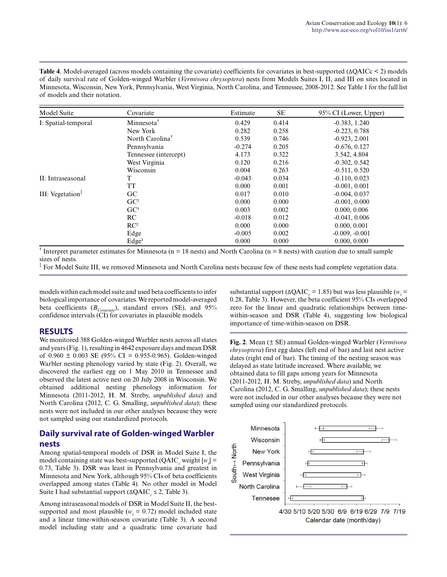**Table 4**. Model-averaged (across models containing the covariate) coefficients for covariates in best-supported (ΔQAICc < 2) models of daily survival rate of Golden-winged Warbler (*Vermivora chrysoptera*) nests from Models Suites I, II, and III on sites located in Minnesota, Wisconsin, New York, Pennsylvania, West Virginia, North Carolina, and Tennessee, 2008-2012. See Table 1 for the full list of models and their notation.

| Model Suite                        | Covariate                   | Estimate | <b>SE</b> | 95% CI (Lower, Upper) |
|------------------------------------|-----------------------------|----------|-----------|-----------------------|
| I: Spatial-temporal                | Minnesota <sup>†</sup>      | 0.429    | 0.414     | $-0.383, 1.240$       |
|                                    | New York                    | 0.282    | 0.258     | $-0.223, 0.788$       |
|                                    | North Carolina <sup>†</sup> | 0.539    | 0.746     | $-0.923, 2.001$       |
|                                    | Pennsylvania                | $-0.274$ | 0.205     | $-0.676, 0.127$       |
|                                    | Tennessee (intercept)       | 4.173    | 0.322     | 3.542, 4.804          |
|                                    | West Virginia               | 0.120    | 0.216     | $-0.302, 0.542$       |
|                                    | Wisconsin                   | 0.004    | 0.263     | $-0.511, 0.520$       |
| II: Intraseasonal                  | T                           | $-0.043$ | 0.034     | $-0.110, 0.023$       |
|                                    | TT                          | 0.000    | 0.001     | $-0.001, 0.001$       |
| III: Vegetation $\mathbf{\ddot{}}$ | GC                          | 0.017    | 0.010     | $-0.004, 0.037$       |
|                                    | GC <sup>2</sup>             | 0.000    | 0.000     | $-0.001, 0.000$       |
|                                    | GC <sup>3</sup>             | 0.003    | 0.002     | 0.000, 0.006          |
|                                    | RC                          | $-0.018$ | 0.012     | $-0.041, 0.006$       |
|                                    | RC <sup>2</sup>             | 0.000    | 0.000     | 0.000, 0.001          |
|                                    | Edge                        | $-0.005$ | 0.002     | $-0.009, -0.001$      |
|                                    | Edge <sup>2</sup>           | 0.000    | 0.000     | 0.000, 0.000          |

<sup>†</sup> Interpret parameter estimates for Minnesota (n = 18 nests) and North Carolina (n = 8 nests) with caution due to small sample sizes of nests.

‡ For Model Suite III, we removed Minnesota and North Carolina nests because few of these nests had complete vegetation data.

models within each model suite and used beta coefficients to infer biological importance of covariates. We reported model-averaged beta coefficients (*BCovariate*), standard errors (SE), and 95% confidence intervals (CI) for covariates in plausible models.

#### **RESULTS**

We monitored 388 Golden-winged Warbler nests across all states and years (Fig. 1), resulting in 4642 exposure days and mean DSR of  $0.960 \pm 0.003$  SE (95% CI = 0.955-0.965). Golden-winged Warbler nesting phenology varied by state (Fig. 2). Overall, we discovered the earliest egg on 1 May 2010 in Tennessee and observed the latest active nest on 20 July 2008 in Wisconsin. We obtained additional nesting phenology information for Minnesota (2011-2012, H. M. Streby, *unpublished data*) and North Carolina (2012, C. G. Smalling, *unpublished data*); these nests were not included in our other analyses because they were not sampled using our standardized protocols.

### **Daily survival rate of Golden-winged Warbler nests**

Among spatial-temporal models of DSR in Model Suite I, the model containing state was best-supported  $(QAIC<sub>c</sub>$  weight  $[w<sub>i</sub>]$  = 0.73, Table 3). DSR was least in Pennsylvania and greatest in Minnesota and New York, although 95% CIs of beta coefficients overlapped among states (Table 4). No other model in Model Suite I had substantial support (ΔQAIC<sub>*c*</sub> ≤ 2, Table 3).

Among intraseasonal models of DSR in Model Suite II, the bestsupported and most plausible ( $w_i = 0.72$ ) model included state and a linear time-within-season covariate (Table 3). A second model including state and a quadratic time covariate had

substantial support (ΔQAIC<sub>*c*</sub> = 1.85) but was less plausible ( $w_i$  = 0.28, Table 3). However, the beta coefficient 95% CIs overlapped zero for the linear and quadratic relationships between timewithin-season and DSR (Table 4), suggesting low biological importance of time-within-season on DSR.

**Fig. 2**. Mean (± SE) annual Golden-winged Warbler (*Vermivora chrysoptera*) first egg dates (left end of bar) and last nest active dates (right end of bar). The timing of the nesting season was delayed as state latitude increased. Where available, we obtained data to fill gaps among years for Minnesota (2011-2012, H. M. Streby, *unpublished data*) and North Carolina (2012, C. G. Smalling, *unpublished data*); these nests were not included in our other analyses because they were not sampled using our standardized protocols.

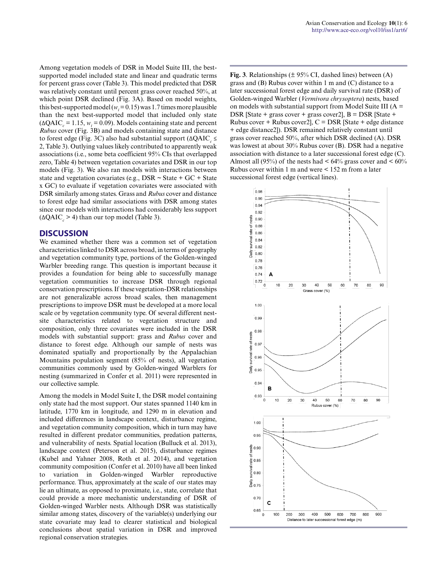Among vegetation models of DSR in Model Suite III, the bestsupported model included state and linear and quadratic terms for percent grass cover (Table 3). This model predicted that DSR was relatively constant until percent grass cover reached 50%, at which point DSR declined (Fig. 3A). Based on model weights, this best-supported model ( $w_i = 0.15$ ) was 1.7 times more plausible than the next best-supported model that included only state  $(\Delta \text{QAIC}_c = 1.15, w_i = 0.09)$ . Models containing state and percent *Rubus* cover (Fig. 3B) and models containing state and distance to forest edge (Fig. 3C) also had substantial support (ΔQAIC<sub>*c*</sub> ≤ 2, Table 3). Outlying values likely contributed to apparently weak associations (i.e., some beta coefficient 95% CIs that overlapped zero, Table 4) between vegetation covariates and DSR in our top models (Fig. 3). We also ran models with interactions between state and vegetation covariates (e.g.,  $DSR \sim State + GC + State$ x GC) to evaluate if vegetation covariates were associated with DSR similarly among states. Grass and *Rubus* cover and distance to forest edge had similar associations with DSR among states since our models with interactions had considerably less support  $(\Delta \text{QAIC}_c > 4)$  than our top model (Table 3).

#### **DISCUSSION**

We examined whether there was a common set of vegetation characteristics linked to DSR across broad, in terms of geography and vegetation community type, portions of the Golden-winged Warbler breeding range. This question is important because it provides a foundation for being able to successfully manage vegetation communities to increase DSR through regional conservation prescriptions. If these vegetation-DSR relationships are not generalizable across broad scales, then management prescriptions to improve DSR must be developed at a more local scale or by vegetation community type. Of several different nestsite characteristics related to vegetation structure and composition, only three covariates were included in the DSR models with substantial support: grass and *Rubus* cover and distance to forest edge. Although our sample of nests was dominated spatially and proportionally by the Appalachian Mountains population segment (85% of nests), all vegetation communities commonly used by Golden-winged Warblers for nesting (summarized in Confer et al. 2011) were represented in our collective sample.

Among the models in Model Suite I, the DSR model containing only state had the most support. Our states spanned 1140 km in latitude, 1770 km in longitude, and 1290 m in elevation and included differences in landscape context, disturbance regime, and vegetation community composition, which in turn may have resulted in different predator communities, predation patterns, and vulnerability of nests. Spatial location (Bulluck et al. 2013), landscape context (Peterson et al. 2015), disturbance regimes (Kubel and Yahner 2008, Roth et al. 2014), and vegetation community composition (Confer et al. 2010) have all been linked to variation in Golden-winged Warbler reproductive performance. Thus, approximately at the scale of our states may lie an ultimate, as opposed to proximate, i.e., state, correlate that could provide a more mechanistic understanding of DSR of Golden-winged Warbler nests. Although DSR was statistically similar among states, discovery of the variable(s) underlying our state covariate may lead to clearer statistical and biological conclusions about spatial variation in DSR and improved regional conservation strategies.

**Fig. 3**. Relationships  $(\pm 95\% \text{ CI}, \text{dashed lines})$  between  $(A)$ grass and (B) Rubus cover within 1 m and (C) distance to a later successional forest edge and daily survival rate (DSR) of Golden-winged Warbler (*Vermivora chrysoptera*) nests, based on models with substantial support from Model Suite III (A = DSR [State + grass cover + grass cover2], B = DSR [State + Rubus cover + Rubus cover 2],  $C = DSR$  [State + edge distance + edge distance2]). DSR remained relatively constant until grass cover reached 50%, after which DSR declined (A). DSR was lowest at about 30% Rubus cover (B). DSR had a negative association with distance to a later successional forest edge (C). Almost all (95%) of the nests had  $\leq 64\%$  grass cover and  $\leq 60\%$ Rubus cover within 1 m and were < 152 m from a later successional forest edge (vertical lines).

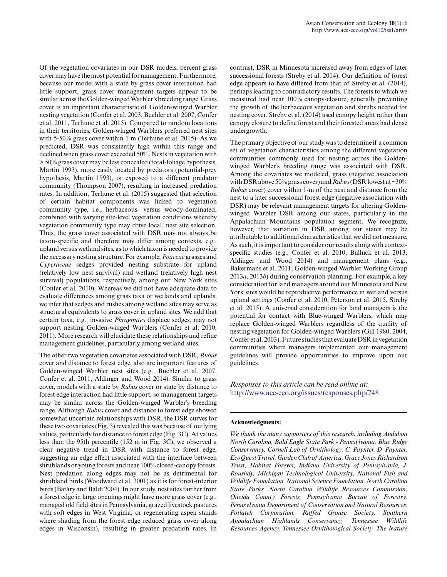Of the vegetation covariates in our DSR models, percent grass cover may have the most potential for management. Furthermore, because our model with a state by grass cover interaction had little support, grass cover management targets appear to be similar across the Golden-winged Warbler's breeding range. Grass cover is an important characteristic of Golden-winged Warbler nesting vegetation (Confer et al. 2003, Buehler et al. 2007, Confer et al. 2011, Terhune et al. 2015). Compared to random locations in their territories, Golden-winged Warblers preferred nest sites with 5-50% grass cover within 1 m (Terhune et al. 2015). As we predicted, DSR was consistently high within this range and declined when grass cover exceeded 50%. Nests in vegetation with > 50% grass cover may be less concealed (total-foliage hypothesis, Martin 1993), more easily located by predators (potential-prey hypothesis, Martin 1993), or exposed to a different predator community (Thompson 2007), resulting in increased predation rates. In addition, Terhune et al. (2015) suggested that selection of certain habitat components was linked to vegetation community type, i.e., herbaceous- versus woody-dominated, combined with varying site-level vegetation conditions whereby vegetation community type may drive local, nest site selection. Thus, the grass cover associated with DSR may not always be taxon-specific and therefore may differ among contexts, e.g., upland versus wetland sites, as to which taxon is needed to provide the necessary nesting structure. For example, *Poaceae* grasses and *Cyperaceae* sedges provided nesting substrate for upland (relatively low nest survival) and wetland (relatively high nest survival) populations, respectively, among our New York sites (Confer et al. 2010). Whereas we did not have adequate data to evaluate differences among grass taxa or wetlands and uplands, we infer that sedges and rushes among wetland sites may serve as structural equivalents to grass cover in upland sites. We add that certain taxa, e.g., invasive *Phragmites* displace sedges, may not support nesting Golden-winged Warblers (Confer et al. 2010, 2011). More research will elucidate these relationships and refine management guidelines, particularly among wetland sites.

The other two vegetation covariates associated with DSR, *Rubus* cover and distance to forest edge, also are important features of Golden-winged Warbler nest sites (e.g., Buehler et al. 2007, Confer et al. 2011, Aldinger and Wood 2014). Similar to grass cover, models with a state by *Rubus* cover or state by distance to forest edge interaction had little support, so management targets may be similar across the Golden-winged Warbler's breeding range. Although *Rubus* cover and distance to forest edge showed somewhat uncertain relationships with DSR, the DSR curves for these two covariates (Fig. 3) revealed this was because of outlying values, particularly for distance to forest edge (Fig. 3C). At values less than the 95th percentile (152 m in Fig. 3C), we observed a clear negative trend in DSR with distance to forest edge, suggesting an edge effect associated with the interface between shrublands or young forests and near 100% closed-canopy forests. Nest predation along edges may not be as detrimental for shrubland birds (Woodward et al. 2001) as it is for forest-interior birds (Batáry and Báldi 2004). In our study, nest sites farther from a forest edge in large openings might have more grass cover (e.g., managed old field sites in Pennsylvania, grazed livestock pastures with soft edges in West Virginia, or regenerating aspen stands where shading from the forest edge reduced grass cover along edges in Wisconsin), resulting in greater predation rates. In

contrast, DSR in Minnesota increased away from edges of later successional forests (Streby et al. 2014). Our definition of forest edge appears to have differed from that of Streby et al. (2014), perhaps leading to contradictory results. The forests to which we measured had near 100% canopy-closure, generally preventing the growth of the herbaceous vegetation and shrubs needed for nesting cover. Streby et al. (2014) used canopy height rather than canopy closure to define forest and their forested areas had dense undergrowth.

The primary objective of our study was to determine if a common set of vegetation characteristics among the different vegetation communities commonly used for nesting across the Goldenwinged Warbler's breeding range was associated with DSR. Among the covariates we modeled, grass (negative association with DSR above 50% grass cover) and *Rubus* (DSR lowest at ~30% *Rubus* cover) cover within 1-m of the nest and distance from the nest to a later successional forest edge (negative association with DSR) may be relevant management targets for altering Goldenwinged Warbler DSR among our states, particularly in the Appalachian Mountains population segment. We recognize, however, that variation in DSR among our states may be attributable to additional characteristics that we did not measure. As such, it is important to consider our results along with contextspecific studies (e.g., Confer et al. 2010, Bulluck et al. 2013, Aldinger and Wood 2014) and management plans (e.g., Bakermans et al. 2011; Golden-winged Warbler Working Group 2013*a*, 2013*b*) during conservation planning. For example, a key consideration for land managers around our Minnesota and New York sites would be reproductive performance in wetland versus upland settings (Confer et al. 2010, Peterson et al. 2015, Streby et al. 2015). A universal consideration for land managers is the potential for contact with Blue-winged Warblers, which may replace Golden-winged Warblers regardless of the quality of nesting vegetation for Golden-winged Warblers (Gill 1980, 2004, Confer et al. 2003). Future studies that evaluate DSR in vegetation communities where managers implemented our management guidelines will provide opportunities to improve upon our guidelines.

*Responses to this article can be read online at:* <http://www.ace-eco.org/issues/responses.php/748>

#### **Acknowledgments:**

*We thank the many supporters of this research, including Audubon North Carolina, Bald Eagle State Park - Pennsylvania, Blue Ridge Conservancy, Cornell Lab of Ornithology, C. Paynter, D. Paynter, EcoQuest Travel, Garden Club of America, Grace Jones Richardson Trust, Habitat Forever, Indiana University of Pennsylvania, J. Roushdy, Michigan Technological University, National Fish and Wildlife Foundation, National Science Foundation, North Carolina State Parks, North Carolina Wildlife Resources Commission, Oneida County Forests, Pennsylvania Bureau of Forestry, Pennsylvania Department of Conservation and Natural Resources, Potlatch Corporation, Ruffed Grouse Society, Southern Appalachian Highlands Conservancy, Tennessee Wildlife Resources Agency, Tennessee Ornithological Society, The Nature*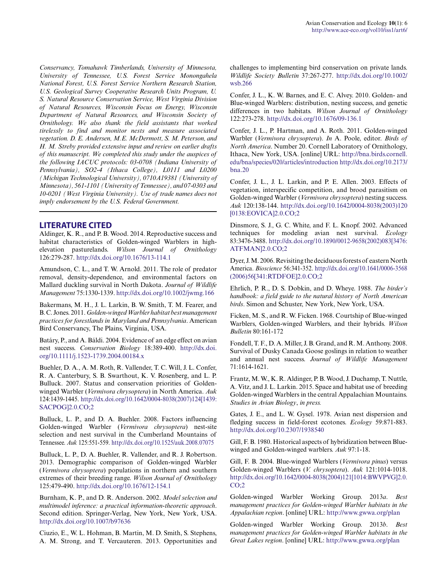*Conservancy, Tomahawk Timberlands, University of Minnesota, University of Tennessee, U.S. Forest Service Monongahela National Forest, U.S. Forest Service Northern Research Station, U.S. Geological Survey Cooperative Research Units Program, U. S. Natural Resource Conservation Service, West Virginia Division of Natural Resources, Wisconsin Focus on Energy, Wisconsin Department of Natural Resources, and Wisconsin Society of Ornithology. We also thank the field assistants that worked tirelessly to find and monitor nests and measure associated vegetation. D. E. Andersen, M.E. McDermott, S. M. Peterson, and H. M. Streby provided extensive input and review on earlier drafts of this manuscript. We completed this study under the auspices of the following IACUC protocols: 03-0708 (Indiana University of Pennsylvania), SO2-4 (Ithaca College), L0111 and L0200 (Michigan Technological University), 0710A19381 (University of Minnesota), 561-1101 (University of Tennessee), and 07-0303 and 10-0201 (West Virginia University). Use of trade names does not imply endorsement by the U.S. Federal Government.*

#### **LITERATURE CITED**

Aldinger, K. R., and P. B. Wood. 2014. Reproductive success and habitat characteristics of Golden-winged Warblers in highelevation pasturelands. *Wilson Journal of Ornithology* 126:279-287. [http://dx.doi.org/10.1676/13-114.1](http://dx.doi.org/10.1676%2F13-114.1)

Amundson, C. L., and T. W. Arnold. 2011. The role of predator removal, density-dependence, and environmental factors on Mallard duckling survival in North Dakota. *Journal of Wildlife Management* 75:1330-1339. [http://dx.doi.org/10.1002/jwmg.166](http://dx.doi.org/10.1002%2Fjwmg.166)

Bakermans, M. H., J. L. Larkin, B. W. Smith, T. M. Fearer, and B. C. Jones. 2011. *Golden-winged Warbler habitat best management practices for forestlands in Maryland and Pennsylvania*. American Bird Conservancy, The Plains, Virginia, USA.

Batáry, P., and A. Báldi. 2004. Evidence of an edge effect on avian nest success. *Conservation Biology* 18:389-400. [http://dx.doi.](http://dx.doi.org/10.1111%2Fj.1523-1739.2004.00184.x) [org/10.1111/j.1523-1739.2004.00184.x](http://dx.doi.org/10.1111%2Fj.1523-1739.2004.00184.x)

Buehler, D. A., A. M. Roth, R. Vallender, T. C. Will, J. L. Confer, R. A. Canterbury, S. B. Swarthout, K. V. Rosenberg, and L. P. Bulluck. 2007. Status and conservation priorities of Goldenwinged Warbler (*Vermivora chrysoptera*) in North America. *Auk* 124:1439-1445. [http://dx.doi.org/10.1642/0004-8038\(2007\)124\[1439:](http://dx.doi.org/10.1642%2F0004-8038%282007%29124%5B1439%3ASACPOG%5D2.0.CO%3B2) [SACPOG\]2.0.CO;2](http://dx.doi.org/10.1642%2F0004-8038%282007%29124%5B1439%3ASACPOG%5D2.0.CO%3B2)

Bulluck, L. P., and D. A. Buehler. 2008. Factors influencing Golden-winged Warbler (*Vermivora chrysoptera*) nest-site selection and nest survival in the Cumberland Mountains of Tennessee. *Auk* 125:551-559. [http://dx.doi.org/10.1525/auk.2008.07075](http://dx.doi.org/10.1525%2Fauk.2008.07075) 

Bulluck, L. P., D. A. Buehler, R. Vallender, and R. J. Robertson. 2013. Demographic comparison of Golden-winged Warbler (*Vermivora chrysoptera*) populations in northern and southern extremes of their breeding range. *Wilson Journal of Ornithology* 125:479-490. [http://dx.doi.org/10.1676/12-154.1](http://dx.doi.org/10.1676%2F12-154.1)

Burnham, K. P., and D. R. Anderson. 2002. *Model selection and multimodel inference: a practical information-theoretic approach*. Second edition. Springer-Verlag, New York, New York, USA. [http://dx.doi.org/10.1007/b97636](http://dx.doi.org/10.1007%2Fb97636) 

Ciuzio, E., W. L. Hohman, B. Martin, M. D. Smith, S. Stephens, A. M. Strong, and T. Vercauteren. 2013. Opportunities and challenges to implementing bird conservation on private lands. *Wildlife Society Bulletin* 37:267-277. [http://dx.doi.org/10.1002/](http://dx.doi.org/10.1002%2Fwsb.266) [wsb.266](http://dx.doi.org/10.1002%2Fwsb.266)

Confer, J. L., K. W. Barnes, and E. C. Alvey. 2010. Golden- and Blue-winged Warblers: distribution, nesting success, and genetic differences in two habitats. *Wilson Journal of Ornithology* 122:273-278. [http://dx.doi.org/10.1676/09-136.1](http://dx.doi.org/10.1676%2F09-136.1)

Confer, J. L., P. Hartman, and A. Roth. 2011. Golden-winged Warbler (*Vermivora chrysoptera*). *In* A. Poole, editor. *Birds of North America*. Number 20. Cornell Laboratory of Ornithology, Ithaca, New York, USA. [online] URL: [http://bna.birds.cornell.](http://bna.birds.cornell.edu/bna/species/020/articles/introduction) [edu/bna/species/020/articles/introduction](http://bna.birds.cornell.edu/bna/species/020/articles/introduction) [http://dx.doi.org/10.2173/](http://dx.doi.org/10.2173%2Fbna.20) [bna.20](http://dx.doi.org/10.2173%2Fbna.20) 

Confer, J. L., J. L. Larkin, and P. E. Allen. 2003. Effects of vegetation, interspecific competition, and brood parasitism on Golden-winged Warbler (*Vermivora chrysoptera*) nesting success. *Auk* 120:138-144. [http://dx.doi.org/10.1642/0004-8038\(2003\)120](http://dx.doi.org/10.1642%2F0004-8038%282003%29120%5B0138%3AEOVICA%5D2.0.CO%3B2) [\[0138:EOVICA\]2.0.CO;2](http://dx.doi.org/10.1642%2F0004-8038%282003%29120%5B0138%3AEOVICA%5D2.0.CO%3B2)

Dinsmore, S. J., G. C. White, and F. L. Knopf. 2002. Advanced techniques for modeling avian nest survival. *Ecology* 83:3476-3488. [http://dx.doi.org/10.1890/0012-9658\(2002\)083\[3476:](http://dx.doi.org/10.1890%2F0012-9658%282002%29083%5B3476%3AATFMAN%5D2.0.CO%3B2) [ATFMAN\]2.0.CO;2](http://dx.doi.org/10.1890%2F0012-9658%282002%29083%5B3476%3AATFMAN%5D2.0.CO%3B2)

Dyer, J. M. 2006. Revisiting the deciduous forests of eastern North America. *Bioscience* 56:341-352. [http://dx.doi.org/10.1641/0006-3568](http://dx.doi.org/10.1641%2F0006-3568%282006%2956%5B341%3ARTDFOE%5D2.0.CO%3B2) [\(2006\)56\[341:RTDFOE\]2.0.CO;2](http://dx.doi.org/10.1641%2F0006-3568%282006%2956%5B341%3ARTDFOE%5D2.0.CO%3B2) 

Ehrlich, P. R., D. S. Dobkin, and D. Wheye. 1988. *The birder's handbook: a field guide to the natural history of North American birds*. Simon and Schuster, New York, New York, USA.

Ficken, M. S., and R. W. Ficken. 1968. Courtship of Blue-winged Warblers, Golden-winged Warblers, and their hybrids. *Wilson Bulletin* 80:161-172

Fondell, T. F., D. A. Miller, J. B. Grand, and R. M. Anthony. 2008. Survival of Dusky Canada Goose goslings in relation to weather and annual nest success. *Journal of Wildlife Management* 71:1614-1621.

Frantz, M. W., K. R. Aldinger, P. B. Wood, J. Duchamp, T. Nuttle, A. Vitz, and J. L. Larkin. 2015. Space and habitat use of breeding Golden-winged Warblers in the central Appalachian Mountains. *Studies in Avian Biology*, *in press.*

Gates, J. E., and L. W. Gysel. 1978. Avian nest dispersion and fledging success in field-forest ecotones. *Ecology* 59:871-883. [http://dx.doi.org/10.2307/1938540](http://dx.doi.org/10.2307%2F1938540) 

Gill, F. B. 1980. Historical aspects of hybridization between Bluewinged and Golden-winged warblers. *Auk* 97:1-18.

Gill, F. B. 2004. Blue-winged Warblers (*Vermivora pinus*) versus Golden-winged Warblers (*V. chrysoptera*). *Auk* 121:1014-1018. [http://dx.doi.org/10.1642/0004-8038\(2004\)121\[1014:BWVPVG\]2.0.](http://dx.doi.org/10.1642%2F0004-8038%282004%29121%5B1014%3ABWVPVG%5D2.0.CO%3B2)  $CO:2$ 

Golden-winged Warbler Working Group. 2013*a*. *Best management practices for Golden-winged Warbler habitats in the Appalachian region*. [online] URL:<http://www.gwwa.org/plan>

Golden-winged Warbler Working Group. 2013*b*. *Best management practices for Golden-winged Warbler habitats in the Great Lakes region*. [online] URL: <http://www.gwwa.org/plan>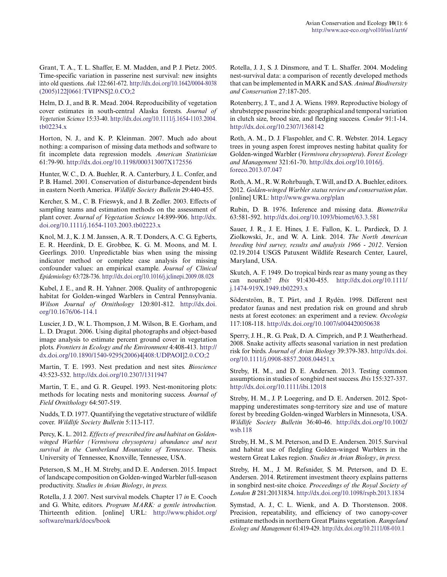Grant, T. A., T. L. Shaffer, E. M. Madden, and P. J. Pietz. 2005. Time-specific variation in passerine nest survival: new insights into old questions. *Auk* 122:661-672. [http://dx.doi.org/10.1642/0004-8038](http://dx.doi.org/10.1642%2F0004-8038%282005%29122%5B0661%3ATVIPNS%5D2.0.CO%3B2) [\(2005\)122\[0661:TVIPNS\]2.0.CO;2](http://dx.doi.org/10.1642%2F0004-8038%282005%29122%5B0661%3ATVIPNS%5D2.0.CO%3B2) 

Helm, D. J., and B. R. Mead. 2004. Reproducibility of vegetation cover estimates in south-central Alaska forests. *Journal of Vegetation Science* 15:33-40. [http://dx.doi.org/10.1111/j.1654-1103.2004.](http://dx.doi.org/10.1111%2Fj.1654-1103.2004.tb02234.x) [tb02234.x](http://dx.doi.org/10.1111%2Fj.1654-1103.2004.tb02234.x)

Horton, N. J., and K. P. Kleinman. 2007. Much ado about nothing: a comparison of missing data methods and software to fit incomplete data regression models. *American Statistician* 61:79-90. [http://dx.doi.org/10.1198/000313007X172556](http://dx.doi.org/10.1198%2F000313007X172556) 

Hunter, W. C., D. A. Buehler, R. A. Canterbury, J. L. Confer, and P. B. Hamel. 2001. Conservation of disturbance-dependent birds in eastern North America. *Wildlife Society Bulletin* 29:440-455.

Kercher, S. M., C. B. Frieswyk, and J. B. Zedler. 2003. Effects of sampling teams and estimation methods on the assessment of plant cover. *Journal of Vegetation Science* 14:899-906. [http://dx.](http://dx.doi.org/10.1111%2Fj.1654-1103.2003.tb02223.x) [doi.org/10.1111/j.1654-1103.2003.tb02223.x](http://dx.doi.org/10.1111%2Fj.1654-1103.2003.tb02223.x)

Knol, M. J., K. J. M. Janssen, A. R. T. Donders, A. C. G. Egberts, E. R. Heerdink, D. E. Grobbee, K. G. M. Moons, and M. I. Geerlings. 2010. Unpredictable bias when using the missing indicator method or complete case analysis for missing confounder values: an empirical example. *Journal of Clinical Epidemiology* 63:728-736. [http://dx.doi.org/10.1016/j.jclinepi.2009.08.028](http://dx.doi.org/10.1016%2Fj.jclinepi.2009.08.028)

Kubel, J. E., and R. H. Yahner. 2008. Quality of anthropogenic habitat for Golden-winged Warblers in Central Pennsylvania. *Wilson Journal of Ornithology* 120:801-812. [http://dx.doi.](http://dx.doi.org/10.1676%2F06-114.1) [org/10.1676/06-114.1](http://dx.doi.org/10.1676%2F06-114.1) 

Luscier, J. D., W. L. Thompson, J. M. Wilson, B. E. Gorham, and L. D. Dragut. 2006. Using digital photographs and object-based image analysis to estimate percent ground cover in vegetation plots. *Frontiers in Ecology and the Environment* 4:408-413. [http://](http://dx.doi.org/10.1890%2F1540-9295%282006%294%5B408%3AUDPAOI%5D2.0.CO%3B2) [dx.doi.org/10.1890/1540-9295\(2006\)4\[408:UDPAOI\]2.0.CO;2](http://dx.doi.org/10.1890%2F1540-9295%282006%294%5B408%3AUDPAOI%5D2.0.CO%3B2) 

Martin, T. E. 1993. Nest predation and nest sites. *Bioscience* 43:523-532. [http://dx.doi.org/10.2307/1311947](http://dx.doi.org/10.2307%2F1311947) 

Martin, T. E., and G. R. Geupel. 1993. Nest-monitoring plots: methods for locating nests and monitoring success. *Journal of Field Ornithology* 64:507-519.

Nudds, T. D. 1977. Quantifying the vegetative structure of wildlife cover. *Wildlife Society Bulletin* 5:113-117.

Percy, K. L. 2012. *Effects of prescribed fire and habitat on Goldenwinged Warbler (Vermivora chrysoptera) abundance and nest survival in the Cumberland Mountains of Tennessee*. Thesis. University of Tennessee, Knoxville, Tennessee, USA.

Peterson, S. M., H. M. Streby, and D. E. Andersen. 2015. Impact of landscape composition on Golden-winged Warbler full-season productivity. *Studies in Avian Biology*, *in press.*

Rotella, J. J. 2007. Nest survival models. Chapter 17 *in* E. Cooch and G. White, editors. *Program MARK: a gentle introduction.* Thirteenth edition. [online] URL: [http://www.phidot.org/](http://www.phidot.org/software/mark/docs/book) [software/mark/docs/book](http://www.phidot.org/software/mark/docs/book) 

Rotella, J. J., S. J. Dinsmore, and T. L. Shaffer. 2004. Modeling nest-survival data: a comparison of recently developed methods that can be implemented in MARK and SAS. *Animal Biodiversity and Conservation* 27:187-205.

Rotenberry, J. T., and J. A. Wiens. 1989. Reproductive biology of shrubsteppe passerine birds: geographical and temporal variation in clutch size, brood size, and fledging success. *Condor* 91:1-14. [http://dx.doi.org/10.2307/1368142](http://dx.doi.org/10.2307%2F1368142) 

Roth, A. M., D. J. Flaspohler, and C. R. Webster. 2014. Legacy trees in young aspen forest improves nesting habitat quality for Golden-winged Warbler (*Vermivora chrysoptera*). *Forest Ecology and Management* 321:61-70. [http://dx.doi.org/10.1016/j.](http://dx.doi.org/10.1016%2Fj.foreco.2013.07.047) [foreco.2013.07.047](http://dx.doi.org/10.1016%2Fj.foreco.2013.07.047)

Roth, A. M., R. W. Rohrbaugh, T. Will, and D. A. Buehler, editors. 2012. *Golden-winged Warbler status review and conservation plan*. [online] URL: <http://www.gwwa.org/plan>

Rubin, D. B. 1976. Inference and missing data. *Biometrika* 63:581-592. [http://dx.doi.org/10.1093/biomet/63.3.581](http://dx.doi.org/10.1093%2Fbiomet%2F63.3.581) 

Sauer, J. R., J. E. Hines, J. E. Fallon, K. L. Pardieck, D. J. Ziolkowski, Jr., and W. A. Link. 2014. *The North American breeding bird survey, results and analysis 1966 - 2012*. Version 02.19.2014 USGS Patuxent Wildlife Research Center, Laurel, Maryland, USA.

Skutch, A. F. 1949. Do tropical birds rear as many young as they can nourish? *Ibis* 91:430-455. [http://dx.doi.org/10.1111/](http://dx.doi.org/10.1111%2Fj.1474-919X.1949.tb02293.x) [j.1474-919X.1949.tb02293.x](http://dx.doi.org/10.1111%2Fj.1474-919X.1949.tb02293.x) 

Söderström, B., T. Pärt, and J. Rydén. 1998. Different nest predator faunas and nest predation risk on ground and shrub nests at forest ecotones: an experiment and a review. *Oecologia* 117:108-118. [http://dx.doi.org/10.1007/s004420050638](http://dx.doi.org/10.1007%2Fs004420050638)

Sperry, J. H., R. G. Peak, D. A. Cimprich, and P. J. Weatherhead. 2008. Snake activity affects seasonal variation in nest predation risk for birds. *Journal of Avian Biology* 39:379-383. [http://dx.doi.](http://dx.doi.org/10.1111%2Fj.0908-8857.2008.04451.x) [org/10.1111/j.0908-8857.2008.04451.x](http://dx.doi.org/10.1111%2Fj.0908-8857.2008.04451.x)

Streby, H. M., and D. E. Andersen. 2013. Testing common assumptions in studies of songbird nest success. *Ibis* 155:327-337. [http://dx.doi.org/10.1111/ibi.12018](http://dx.doi.org/10.1111%2Fibi.12018)

Streby, H. M., J. P. Loegering, and D. E. Andersen. 2012. Spotmapping underestimates song-territory size and use of mature forest by breeding Golden-winged Warblers in Minnesota, USA. *Wildlife Society Bulletin* 36:40-46. [http://dx.doi.org/10.1002/](http://dx.doi.org/10.1002%2Fwsb.118) [wsb.118](http://dx.doi.org/10.1002%2Fwsb.118)

Streby, H. M., S. M. Peterson, and D. E. Andersen. 2015. Survival and habitat use of fledgling Golden-winged Warblers in the western Great Lakes region. *Studies in Avian Biology*, *in press.*

Streby, H. M., J. M. Refsnider, S. M. Peterson, and D. E. Andersen. 2014. Retirement investment theory explains patterns in songbird nest-site choice. *Proceedings of the Royal Society of London B* 281:20131834. [http://dx.doi.org/10.1098/rspb.2013.1834](http://dx.doi.org/10.1098%2Frspb.2013.1834) 

Symstad, A. J., C. L. Wienk, and A. D. Thorstenson. 2008. Precision, repeatability, and efficiency of two canopy-cover estimate methods in northern Great Plains vegetation. *Rangeland Ecology and Management* 61:419-429. [http://dx.doi.org/10.2111/08-010.1](http://dx.doi.org/10.2111%2F08-010.1)